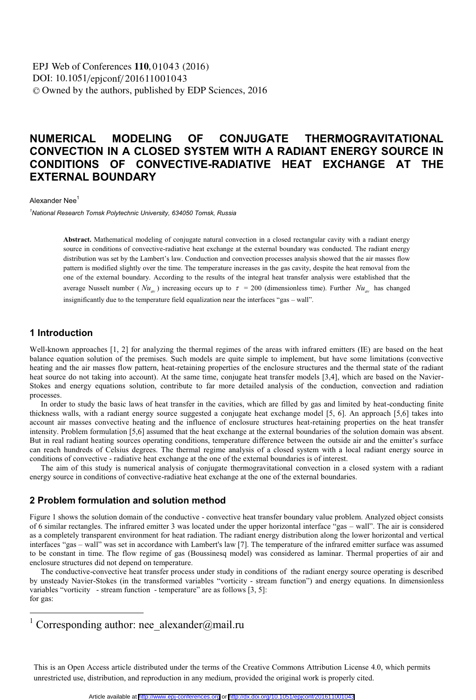DOI: 10.1051/epjconf/201611001043 © Owned by the authors, published by EDP Sciences, 2016 **EPJ** Web of Conferences **110**, 01043 (2016)

# **NUMERICAL MODELING OF CONJUGATE THERMOGRAVITATIONAL CONVECTION IN A CLOSED SYSTEM WITH A RADIANT ENERGY SOURCE IN CONDITIONS OF CONVECTIVE-RADIATIVE HEAT EXCHANGE AT THE EXTERNAL BOUNDARY**

Alexander Nee<sup>1</sup>

*1 National Research Tomsk Polytechnic University, 634050 Tomsk, Russia* 

**Abstract.** Mathematical modeling of conjugate natural convection in a closed rectangular cavity with a radiant energy source in conditions of convective-radiative heat exchange at the external boundary was conducted. The radiant energy distribution was set by the Lambert's law. Conduction and convection processes analysis showed that the air masses flow pattern is modified slightly over the time. The temperature increases in the gas cavity, despite the heat removal from the one of the external boundary. According to the results of the integral heat transfer analysis were established that the average Nusselt number ( $Nu_{av}$ ) increasing occurs up to  $\tau = 200$  (dimensionless time). Further  $Nu_{av}$  has changed insignificantly due to the temperature field equalization near the interfaces "gas – wall".

## **1 Introduction**

Well-known approaches [1, 2] for analyzing the thermal regimes of the areas with infrared emitters (IE) are based on the heat balance equation solution of the premises. Such models are quite simple to implement, but have some limitations (convective heating and the air masses flow pattern, heat-retaining properties of the enclosure structures and the thermal state of the radiant heat source do not taking into account). At the same time, conjugate heat transfer models [3,4], which are based on the Navier-Stokes and energy equations solution, contribute to far more detailed analysis of the conduction, convection and radiation processes.

In order to study the basic laws of heat transfer in the cavities, which are filled by gas and limited by heat-conducting finite thickness walls, with a radiant energy source suggested a conjugate heat exchange model [5, 6]. An approach [5,6] takes into account air masses convective heating and the influence of enclosure structures heat-retaining properties on the heat transfer intensity. Problem formulation [5,6] assumed that the heat exchange at the external boundaries of the solution domain was absent. But in real radiant heating sources operating conditions, temperature difference between the outside air and the emitter's surface can reach hundreds of Celsius degrees. The thermal regime analysis of a closed system with a local radiant energy source in conditions of convective - radiative heat exchange at the one of the external boundaries is of interest.

The aim of this study is numerical analysis of conjugate thermogravitational convection in a closed system with a radiant energy source in conditions of convective-radiative heat exchange at the one of the external boundaries.

#### **2 Problem formulation and solution method**

Figure 1 shows the solution domain of the conductive - convective heat transfer boundary value problem. Analyzed object consists of 6 similar rectangles. The infrared emitter 3 was located under the upper horizontal interface "gas – wall". The air is considered as a completely transparent environment for heat radiation. The radiant energy distribution along the lower horizontal and vertical interfaces "gas – wall" was set in accordance with Lambert's law [7]. The temperature of the infrared emitter surface was assumed to be constant in time. The flow regime of gas (Boussinesq model) was considered as laminar. Thermal properties of air and enclosure structures did not depend on temperature.

The conductive-convective heat transfer process under study in conditions of the radiant energy source operating is described by unsteady Navier-Stokes (in the transformed variables "vorticity - stream function") and energy equations. In dimensionless variables "vorticity - stream function - temperature" are as follows [3, 5]: for gas:

1 Corresponding author: nee\_alexander@mail.ru

This is an Open Access article distributed under the terms of the Creative Commons Attribution License 4.0, which permits unrestricted use, distribution, and reproduction in any medium, provided the original work is properly cited.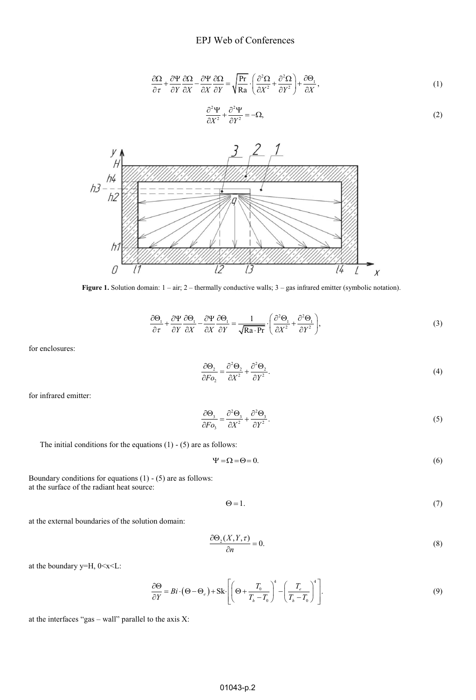$$
\frac{\partial \Omega}{\partial r} + \frac{\partial \Psi}{\partial r} \frac{\partial \Omega}{\partial x} - \frac{\partial \Psi}{\partial x} \frac{\partial \Omega}{\partial r} = \sqrt{\frac{\text{Pr}}{\text{Ra}}} \cdot \left( \frac{\partial^2 \Omega}{\partial x^2} + \frac{\partial^2 \Omega}{\partial r^2} \right) + \frac{\partial \Theta_1}{\partial x},\tag{1}
$$

$$
\frac{\partial^2 \Psi}{\partial X^2} + \frac{\partial^2 \Psi}{\partial Y^2} = -\Omega,\tag{2}
$$



Figure 1. Solution domain:  $1 - \text{air}$ ;  $2 - \text{thermally conductive walls}$ ;  $3 - \text{gas infrared emitter (symbolic notation)}$ .

$$
\frac{\partial \Theta_1}{\partial \tau} + \frac{\partial \Psi}{\partial Y} \frac{\partial \Theta_1}{\partial X} - \frac{\partial \Psi}{\partial X} \frac{\partial \Theta_1}{\partial Y} = \frac{1}{\sqrt{\text{Ra} \cdot \text{Pr}}} \cdot \left( \frac{\partial^2 \Theta_1}{\partial X^2} + \frac{\partial^2 \Theta_1}{\partial Y^2} \right),\tag{3}
$$

for enclosures:

2 2 2 22 2 2 2 . *Fo X Y* (4)

for infrared emitter:

$$
\frac{\partial \Theta_3}{\partial F \rho_3} = \frac{\partial^2 \Theta_3}{\partial X^2} + \frac{\partial^2 \Theta_3}{\partial Y^2}.
$$
\n(5)

The initial conditions for the equations 
$$
(1) - (5)
$$
 are as follows:

$$
\Psi = \Omega = \Theta = 0. \tag{6}
$$

Boundary conditions for equations (1) - (5) are as follows: at the surface of the radiant heat source:

 $\Theta = 1.$  (7)

at the external boundaries of the solution domain:

$$
\frac{\partial \Theta_2(X, Y, \tau)}{\partial n} = 0. \tag{8}
$$

at the boundary y=H, 0<x<L:

$$
\frac{\partial \Theta}{\partial Y} = Bi \cdot (\Theta - \Theta_e) + Sk \cdot \left[ \left( \Theta + \frac{T_0}{T_h - T_0} \right)^4 - \left( \frac{T_e}{T_h - T_0} \right)^4 \right].
$$
\n(9)

at the interfaces "gas – wall" parallel to the axis X: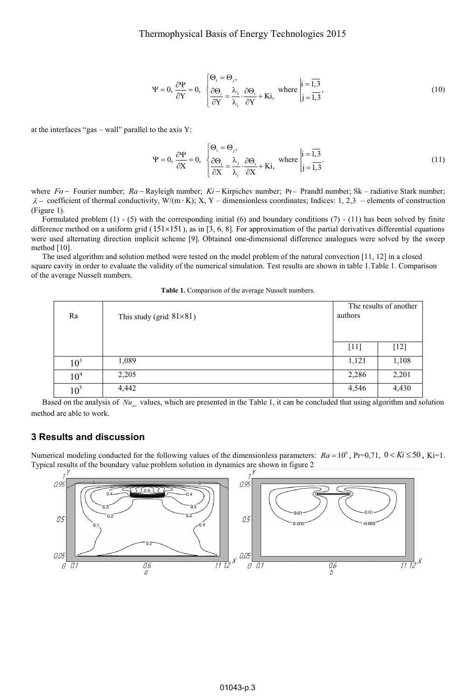$$
\Psi = 0, \frac{\partial \Psi}{\partial Y} = 0, \begin{cases} \Theta_i = \Theta_j, \\ \frac{\partial \Theta_i}{\partial Y} = \frac{\lambda_j}{\lambda_i} \cdot \frac{\partial \Theta_i}{\partial Y} + Ki, \end{cases} \text{ where } \begin{vmatrix} i = \overline{1,3} \\ j = \overline{1,3} \end{vmatrix}, \tag{10}
$$

at the interfaces "gas – wall" parallel to the axis Y:

$$
\Psi = 0, \frac{\partial \Psi}{\partial X} = 0, \begin{cases} \Theta_i = \Theta_j, \\ \frac{\partial \Theta_i}{\partial X} = \frac{\lambda_j}{\lambda_i} \cdot \frac{\partial \Theta_i}{\partial X} + Ki, \end{cases} \text{ where } \begin{vmatrix} i = \overline{1,3} \\ j = \overline{1,3} \end{vmatrix}.
$$
 (11)

where *Fo* – Fourier number; *Ra* – Rayleigh number; *Ki* – Kirpichev number; Pr- Prandtl number; Sk – radiative Stark number;  $\lambda$  – coefficient of thermal conductivity, W/(m · K); X, Y – dimensionless coordinates; Indices: 1, 2,3 – elements of construction (Figure 1).

Formulated problem (1) - (5) with the corresponding initial (6) and boundary conditions (7) - (11) has been solved by finite difference method on a uniform grid  $(151 \times 151)$ , as in [3, 6, 8]. For approximation of the partial derivatives differential equations were used alternating direction implicit scheme [9]. Obtained one-dimensional difference analogues were solved by the sweep method [10].

The used algorithm and solution method were tested on the model problem of the natural convection [11, 12] in a closed square cavity in order to evaluate the validity of the numerical simulation. Test results are shown in table 1.Table 1. Comparison of the average Nusselt numbers.

**Table 1.** Comparison of the average Nusselt numbers.

| Ra              | This study (grid $81\times81$ ) | The results of another<br>authors |        |
|-----------------|---------------------------------|-----------------------------------|--------|
|                 |                                 | $[11]$                            | $[12]$ |
| 10 <sup>3</sup> | 1,089                           | 1,121                             | 1,108  |
| 10 <sup>4</sup> | 2,205                           | 2,286                             | 2,201  |
| $10^5$          | 4,442                           | 4,546                             | 4,430  |

Based on the analysis of  $Nu_{w}$  values, which are presented in the Table 1, it can be concluded that using algorithm and solution method are able to work.

## **3 Results and discussion**

Numerical modeling conducted for the following values of the dimensionless parameters:  $Ra = 10^6$ , Pr=0,71,  $0 < Ki \le 50$ , Ki=1. Typical results of the boundary value problem solution in dynamics are shown in figure 2

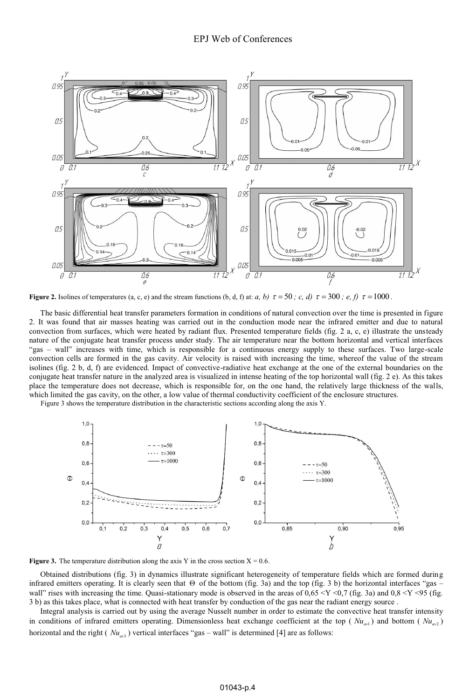

**Figure 2.** Isolines of temperatures (a, c, e) and the stream functions (b, d, f) at: *a, b)*  $\tau = 50$  *; c, d)*  $\tau = 300$  *; e, f)*  $\tau = 1000$ .

The basic differential heat transfer parameters formation in conditions of natural convection over the time is presented in figure 2. It was found that air masses heating was carried out in the conduction mode near the infrared emitter and due to natural convection from surfaces, which were heated by radiant flux. Presented temperature fields (fig. 2 a, c, e) illustrate the unsteady nature of the conjugate heat transfer process under study. The air temperature near the bottom horizontal and vertical interfaces "gas – wall" increases with time, which is responsible for a continuous energy supply to these surfaces. Two large-scale convection cells are formed in the gas cavity. Air velocity is raised with increasing the time, whereof the value of the stream isolines (fig. 2 b, d, f) are evidenced. Impact of convective-radiative heat exchange at the one of the external boundaries on the conjugate heat transfer nature in the analyzed area is visualized in intense heating of the top horizontal wall (fig. 2 e). As this takes place the temperature does not decrease, which is responsible for, on the one hand, the relatively large thickness of the walls, which limited the gas cavity, on the other, a low value of thermal conductivity coefficient of the enclosure structures.

Figure 3 shows the temperature distribution in the characteristic sections according along the axis Y.





Obtained distributions (fig. 3) in dynamics illustrate significant heterogeneity of temperature fields which are formed during infrared emitters operating. It is clearly seen that  $\Theta$  of the bottom (fig. 3a) and the top (fig. 3 b) the horizontal interfaces "gas – wall" rises with increasing the time. Quasi-stationary mode is observed in the areas of  $0.65 \le Y \le 0.7$  (fig. 3a) and  $0.8 \le Y \le 95$  (fig. 3 b) as this takes place, what is connected with heat transfer by conduction of the gas near the radiant energy source .

Integral analysis is carried out by using the average Nusselt number in order to estimate the convective heat transfer intensity in conditions of infrared emitters operating. Dimensionless heat exchange coefficient at the top ( $Nu_{m1}$ ) and bottom ( $Nu_{m2}$ ) horizontal and the right ( $Nu_{\text{max}}$ ) vertical interfaces "gas – wall" is determined [4] are as follows: